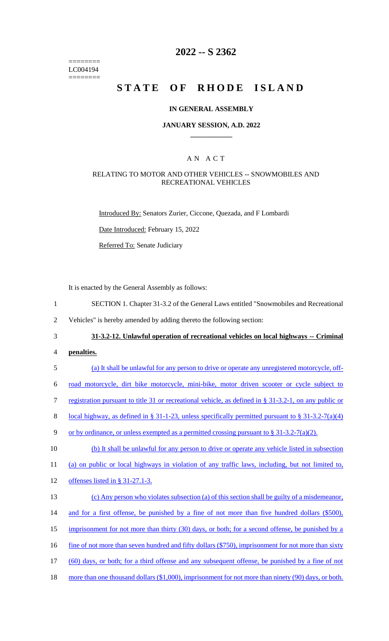======== LC004194 ========

# **2022 -- S 2362**

# **STATE OF RHODE ISLAND**

#### **IN GENERAL ASSEMBLY**

#### **JANUARY SESSION, A.D. 2022 \_\_\_\_\_\_\_\_\_\_\_\_**

### A N A C T

#### RELATING TO MOTOR AND OTHER VEHICLES -- SNOWMOBILES AND RECREATIONAL VEHICLES

Introduced By: Senators Zurier, Ciccone, Quezada, and F Lombardi

Date Introduced: February 15, 2022

Referred To: Senate Judiciary

It is enacted by the General Assembly as follows:

- 1 SECTION 1. Chapter 31-3.2 of the General Laws entitled "Snowmobiles and Recreational
- 2 Vehicles" is hereby amended by adding thereto the following section:
- 3 **31-3.2-12. Unlawful operation of recreational vehicles on local highways -- Criminal**
- 4 **penalties.**
- 5 (a) It shall be unlawful for any person to drive or operate any unregistered motorcycle, off-

6 road motorcycle, dirt bike motorcycle, mini-bike, motor driven scooter or cycle subject to

7 registration pursuant to title 31 or recreational vehicle, as defined in § 31-3.2-1, on any public or

8 local highway, as defined in § 31-1-23, unless specifically permitted pursuant to § 31-3.2-7(a)(4)

9 or by ordinance, or unless exempted as a permitted crossing pursuant to § 31-3.2-7(a)(2).

10 (b) It shall be unlawful for any person to drive or operate any vehicle listed in subsection 11 (a) on public or local highways in violation of any traffic laws, including, but not limited to,

12 offenses listed in § 31-27.1-3.

13 (c) Any person who violates subsection (a) of this section shall be guilty of a misdemeanor, 14 and for a first offense, be punished by a fine of not more than five hundred dollars (\$500), 15 imprisonment for not more than thirty (30) days, or both; for a second offense, be punished by a 16 fine of not more than seven hundred and fifty dollars (\$750), imprisonment for not more than sixty 17 (60) days, or both; for a third offense and any subsequent offense, be punished by a fine of not

18 more than one thousand dollars (\$1,000), imprisonment for not more than ninety (90) days, or both.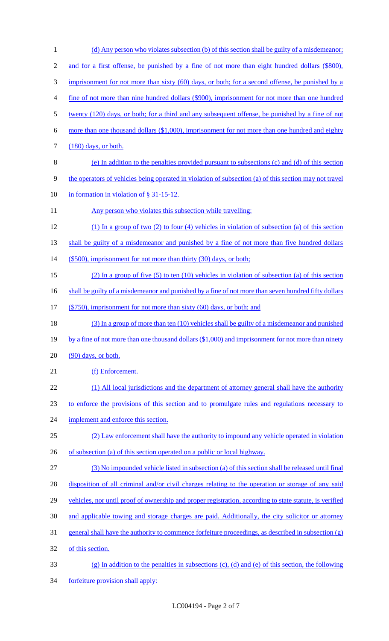| $\mathbf{1}$   | (d) Any person who violates subsection (b) of this section shall be guilty of a misdemeanor;             |
|----------------|----------------------------------------------------------------------------------------------------------|
| $\mathfrak{2}$ | and for a first offense, be punished by a fine of not more than eight hundred dollars (\$800),           |
| $\mathfrak{Z}$ | imprisonment for not more than sixty (60) days, or both; for a second offense, be punished by a          |
| 4              | fine of not more than nine hundred dollars (\$900), imprisonment for not more than one hundred           |
| 5              | twenty (120) days, or both; for a third and any subsequent offense, be punished by a fine of not         |
| 6              | more than one thousand dollars (\$1,000), imprisonment for not more than one hundred and eighty          |
| 7              | $(180)$ days, or both.                                                                                   |
| $8\,$          | (e) In addition to the penalties provided pursuant to subsections (c) and (d) of this section            |
| 9              | the operators of vehicles being operated in violation of subsection (a) of this section may not travel   |
| 10             | in formation in violation of $\S$ 31-15-12.                                                              |
| 11             | Any person who violates this subsection while travelling:                                                |
| 12             | $(1)$ In a group of two $(2)$ to four $(4)$ vehicles in violation of subsection $(a)$ of this section    |
| 13             | shall be guilty of a misdemeanor and punished by a fine of not more than five hundred dollars            |
| 14             | (\$500), imprisonment for not more than thirty (30) days, or both;                                       |
| 15             | (2) In a group of five $(5)$ to ten $(10)$ vehicles in violation of subsection (a) of this section       |
| 16             | shall be guilty of a misdemeanor and punished by a fine of not more than seven hundred fifty dollars     |
| 17             | (\$750), imprisonment for not more than sixty (60) days, or both; and                                    |
| 18             | (3) In a group of more than ten (10) vehicles shall be guilty of a misdemeanor and punished              |
| 19             | by a fine of not more than one thousand dollars $(\$1,000)$ and imprisonment for not more than ninety    |
| 20             | (90) days, or both.                                                                                      |
| 21             | (f) Enforcement.                                                                                         |
| 22             | (1) All local jurisdictions and the department of attorney general shall have the authority              |
| 23             | to enforce the provisions of this section and to promulgate rules and regulations necessary to           |
| 24             | implement and enforce this section.                                                                      |
| 25             | (2) Law enforcement shall have the authority to impound any vehicle operated in violation                |
| 26             | of subsection (a) of this section operated on a public or local highway.                                 |
| 27             | (3) No impounded vehicle listed in subsection (a) of this section shall be released until final          |
| 28             | disposition of all criminal and/or civil charges relating to the operation or storage of any said        |
| 29             | vehicles, nor until proof of ownership and proper registration, according to state statute, is verified  |
| 30             | and applicable towing and storage charges are paid. Additionally, the city solicitor or attorney         |
| 31             | general shall have the authority to commence forfeiture proceedings, as described in subsection (g)      |
| 32             | of this section.                                                                                         |
| 33             | $(g)$ In addition to the penalties in subsections $(c)$ , $(d)$ and $(e)$ of this section, the following |
| 34             | forfeiture provision shall apply:                                                                        |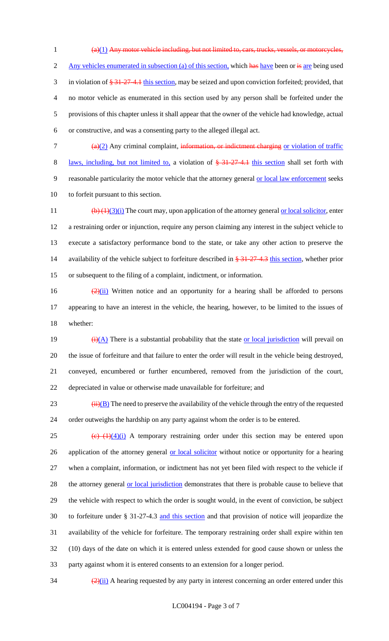(a)(1) Any motor vehicle including, but not limited to, cars, trucks, vessels, or motorcycles, 2 Any vehicles enumerated in subsection (a) of this section, which has have been or is are being used 3 in violation of  $\frac{274.1 \text{ this section}}{274.1 \text{ this section}}$ , may be seized and upon conviction forfeited; provided, that no motor vehicle as enumerated in this section used by any person shall be forfeited under the provisions of this chapter unless it shall appear that the owner of the vehicle had knowledge, actual or constructive, and was a consenting party to the alleged illegal act.

7  $\frac{a(2)}{2}$  Any criminal complaint, information, or indictment charging or violation of traffic 8 laws, including, but not limited to, a violation of  $\frac{2}{5}$  31-27-4.1 this section shall set forth with 9 reasonable particularity the motor vehicle that the attorney general or local law enforcement seeks 10 to forfeit pursuant to this section.

 $\left(\frac{b}{1)(3)(i)}$  The court may, upon application of the attorney general <u>or local solicitor</u>, enter a restraining order or injunction, require any person claiming any interest in the subject vehicle to execute a satisfactory performance bond to the state, or take any other action to preserve the 14 availability of the vehicle subject to forfeiture described in  $\frac{21-27-4.3}{21}$  this section, whether prior or subsequent to the filing of a complaint, indictment, or information.

16  $\frac{(2)(ii)}{(2)(ii)}$  Written notice and an opportunity for a hearing shall be afforded to persons 17 appearing to have an interest in the vehicle, the hearing, however, to be limited to the issues of 18 whether:

 $\frac{(\mathbf{i}) (\mathbf{A})}{(\mathbf{A})}$  There is a substantial probability that the state <u>or local jurisdiction</u> will prevail on the issue of forfeiture and that failure to enter the order will result in the vehicle being destroyed, conveyed, encumbered or further encumbered, removed from the jurisdiction of the court, depreciated in value or otherwise made unavailable for forfeiture; and

23  $(iii)(B)$  The need to preserve the availability of the vehicle through the entry of the requested 24 order outweighs the hardship on any party against whom the order is to be entered.

 (c)  $(1)(4)(i)$  A temporary restraining order under this section may be entered upon 26 application of the attorney general or local solicitor without notice or opportunity for a hearing when a complaint, information, or indictment has not yet been filed with respect to the vehicle if 28 the attorney general or local jurisdiction demonstrates that there is probable cause to believe that the vehicle with respect to which the order is sought would, in the event of conviction, be subject to forfeiture under § 31-27-4.3 and this section and that provision of notice will jeopardize the availability of the vehicle for forfeiture. The temporary restraining order shall expire within ten (10) days of the date on which it is entered unless extended for good cause shown or unless the party against whom it is entered consents to an extension for a longer period.

 $\frac{(2)(ii)}{2}$  A hearing requested by any party in interest concerning an order entered under this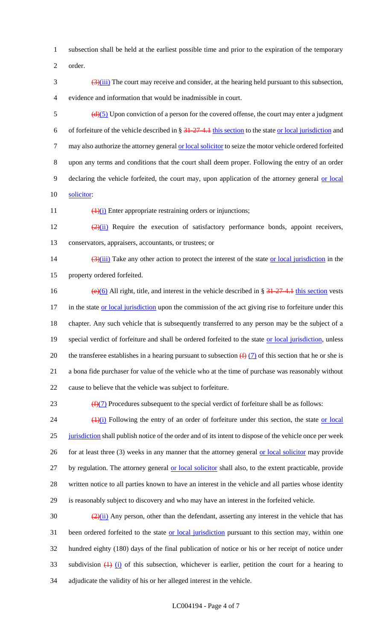1 subsection shall be held at the earliest possible time and prior to the expiration of the temporary

2 order.

 $\frac{(3)(iii)}{(2i)}$  The court may receive and consider, at the hearing held pursuant to this subsection, 4 evidence and information that would be inadmissible in court.

 $\frac{d}{d}\frac{3}{5}$  Upon conviction of a person for the covered offense, the court may enter a judgment 6 of forfeiture of the vehicle described in  $\S 31-27-4.1$  this section to the state or local jurisdiction and 7 may also authorize the attorney general or local solicitor to seize the motor vehicle ordered forfeited 8 upon any terms and conditions that the court shall deem proper. Following the entry of an order 9 declaring the vehicle forfeited, the court may, upon application of the attorney general or local 10 solicitor:

11  $\left(1\right)$  Enter appropriate restraining orders or injunctions;

12  $\frac{(2)(ii)}{(2)(ii)}$  Require the execution of satisfactory performance bonds, appoint receivers, 13 conservators, appraisers, accountants, or trustees; or

14  $(3)(iii)$  Take any other action to protect the interest of the state or local jurisdiction in the 15 property ordered forfeited.

16 (e)(6) All right, title, and interest in the vehicle described in §  $\frac{31-27-4}{1}$  this section vests 17 in the state or local jurisdiction upon the commission of the act giving rise to forfeiture under this 18 chapter. Any such vehicle that is subsequently transferred to any person may be the subject of a 19 special verdict of forfeiture and shall be ordered forfeited to the state or local jurisdiction, unless 20 the transferee establishes in a hearing pursuant to subsection  $\left(\frac{f}{f}\right)$  of this section that he or she is 21 a bona fide purchaser for value of the vehicle who at the time of purchase was reasonably without 22 cause to believe that the vehicle was subject to forfeiture.

23  $(f)(7)$  Procedures subsequent to the special verdict of forfeiture shall be as follows:

 $(1)(i)$  Following the entry of an order of forfeiture under this section, the state or local 25 jurisdiction shall publish notice of the order and of its intent to dispose of the vehicle once per week 26 for at least three (3) weeks in any manner that the attorney general or local solicitor may provide 27 by regulation. The attorney general or local solicitor shall also, to the extent practicable, provide 28 written notice to all parties known to have an interest in the vehicle and all parties whose identity 29 is reasonably subject to discovery and who may have an interest in the forfeited vehicle.

 $\frac{(2)(ii)}{(2)(ii)}$  Any person, other than the defendant, asserting any interest in the vehicle that has 31 been ordered forfeited to the state or local jurisdiction pursuant to this section may, within one 32 hundred eighty (180) days of the final publication of notice or his or her receipt of notice under 33 subdivision  $\frac{1}{12}$  (i) of this subsection, whichever is earlier, petition the court for a hearing to 34 adjudicate the validity of his or her alleged interest in the vehicle.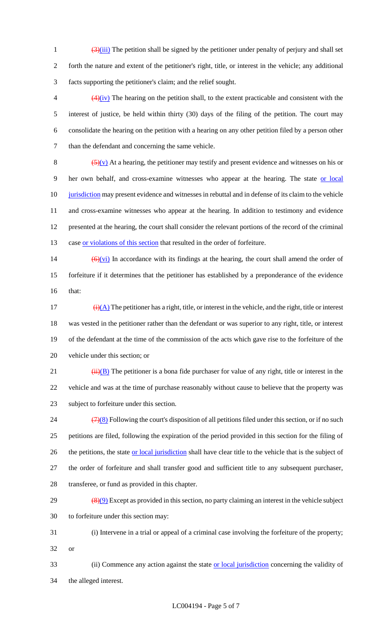$\frac{(3)(iii)}{(2i)}$  The petition shall be signed by the petitioner under penalty of perjury and shall set forth the nature and extent of the petitioner's right, title, or interest in the vehicle; any additional facts supporting the petitioner's claim; and the relief sought.

 $\left(4\right)(iv)$  The hearing on the petition shall, to the extent practicable and consistent with the interest of justice, be held within thirty (30) days of the filing of the petition. The court may consolidate the hearing on the petition with a hearing on any other petition filed by a person other than the defendant and concerning the same vehicle.

 $(5)(v)$  At a hearing, the petitioner may testify and present evidence and witnesses on his or her own behalf, and cross-examine witnesses who appear at the hearing. The state or local 10 jurisdiction may present evidence and witnesses in rebuttal and in defense of its claim to the vehicle and cross-examine witnesses who appear at the hearing. In addition to testimony and evidence presented at the hearing, the court shall consider the relevant portions of the record of the criminal 13 case or violations of this section that resulted in the order of forfeiture.

14  $\left(\frac{6}{\sqrt{v}}\right)$  In accordance with its findings at the hearing, the court shall amend the order of forfeiture if it determines that the petitioner has established by a preponderance of the evidence that:

17 (i)(A) The petitioner has a right, title, or interest in the vehicle, and the right, title or interest was vested in the petitioner rather than the defendant or was superior to any right, title, or interest of the defendant at the time of the commission of the acts which gave rise to the forfeiture of the vehicle under this section; or

21  $(iii)(B)$  The petitioner is a bona fide purchaser for value of any right, title or interest in the vehicle and was at the time of purchase reasonably without cause to believe that the property was subject to forfeiture under this section.

 $(7)(8)$  Following the court's disposition of all petitions filed under this section, or if no such petitions are filed, following the expiration of the period provided in this section for the filing of 26 the petitions, the state or local jurisdiction shall have clear title to the vehicle that is the subject of the order of forfeiture and shall transfer good and sufficient title to any subsequent purchaser, transferee, or fund as provided in this chapter.

 $\left(\frac{8}{9}\right)$  Except as provided in this section, no party claiming an interest in the vehicle subject to forfeiture under this section may:

 (i) Intervene in a trial or appeal of a criminal case involving the forfeiture of the property; or

33 (ii) Commence any action against the state or local jurisdiction concerning the validity of the alleged interest.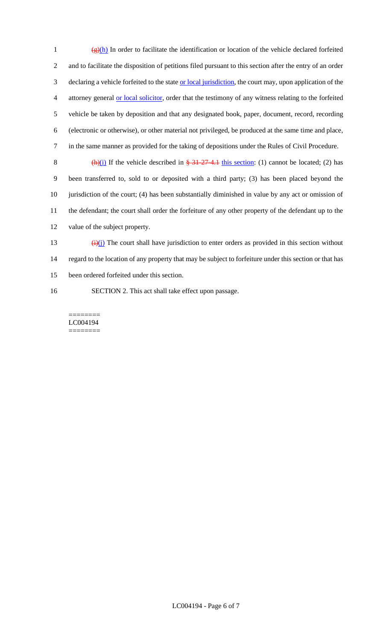$\frac{(\mathbf{g})(h)}{h}$  In order to facilitate the identification or location of the vehicle declared forfeited and to facilitate the disposition of petitions filed pursuant to this section after the entry of an order 3 declaring a vehicle forfeited to the state or local jurisdiction, the court may, upon application of the attorney general or local solicitor, order that the testimony of any witness relating to the forfeited vehicle be taken by deposition and that any designated book, paper, document, record, recording (electronic or otherwise), or other material not privileged, be produced at the same time and place, in the same manner as provided for the taking of depositions under the Rules of Civil Procedure. 8 (h)(i) If the vehicle described in  $\frac{24-27-4.1}{27-4.1}$  this section: (1) cannot be located; (2) has been transferred to, sold to or deposited with a third party; (3) has been placed beyond the jurisdiction of the court; (4) has been substantially diminished in value by any act or omission of the defendant; the court shall order the forfeiture of any other property of the defendant up to the

12 value of the subject property.

- 13  $\frac{(\mathbf{i})(\mathbf{j})}{(\mathbf{i})}$  The court shall have jurisdiction to enter orders as provided in this section without 14 regard to the location of any property that may be subject to forfeiture under this section or that has 15 been ordered forfeited under this section.
- 16 SECTION 2. This act shall take effect upon passage.

======== LC004194 ========